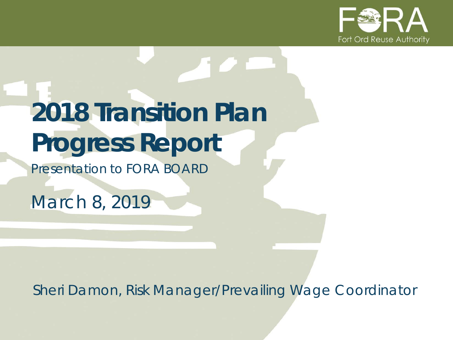

# **2018 Transition Plan Progress Report**

*Presentation to FORA BOARD*

*March 8, 2019*

*Sheri Damon, Risk Manager/Prevailing Wage Coordinator*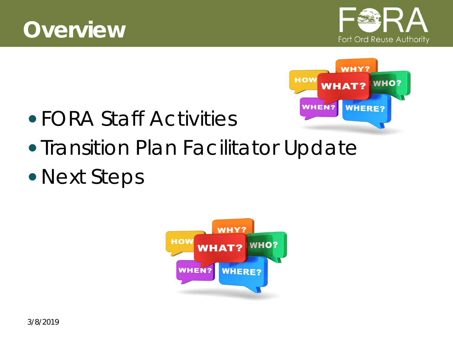





- FORA Staff Activities
- Transition Plan Facilitator Update
- Next Steps

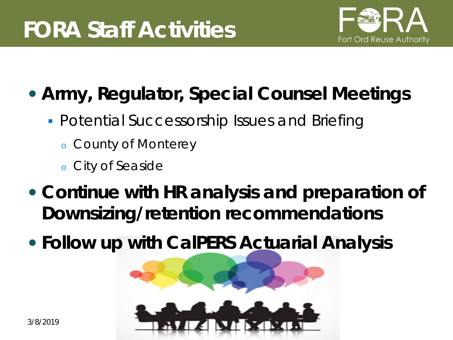

#### **Army, Regulator, Special Counsel Meetings**

- **Potential Successorship Issues and Briefing** 
	- <sup>o</sup> County of Monterey
	- <sup>o</sup> City of Seaside
- **Continue with HR analysis and preparation of Downsizing/retention recommendations**
- **Follow up with CalPERS Actuarial Analysis**

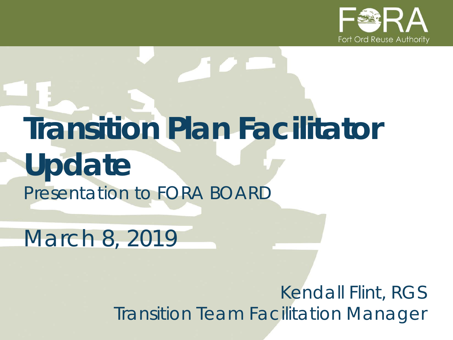

# **Transition Plan Facilitator Update** *Presentation to FORA BOARD*

*March 8, 2019*

*Kendall Flint, RGS Transition Team Facilitation Manager*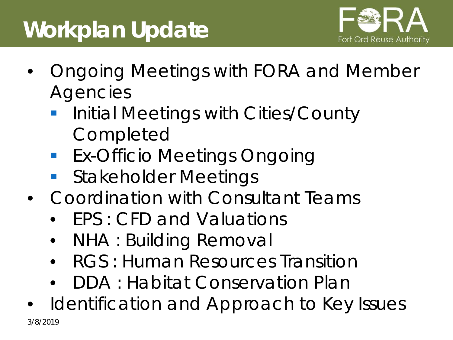# **Workplan Update**



- Ongoing Meetings with FORA and Member **Agencies** 
	- **Initial Meetings with Cities/County Completed**
	- **Ex-Officio Meetings Ongoing**
	- **Stakeholder Meetings**
- Coordination with Consultant Teams
	- FPS : CFD and Valuations
	- NHA : Building Removal
	- RGS : Human Resources Transition
	- DDA : Habitat Conservation Plan
- Identification and Approach to Key Issues 3/8/2019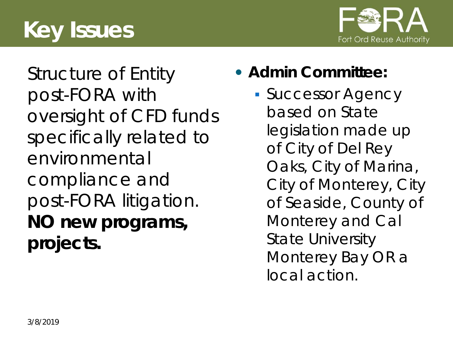



Structure of Entity post-FORA with oversight of CFD funds specifically related to environmental compliance and post-FORA litigation. **NO new programs, projects.**

- **Admin Committee:**
	- **Successor Agency** based on State legislation made up of City of Del Rey Oaks, City of Marina, City of Monterey, City of Seaside, County of Monterey and Cal State University Monterey Bay OR a local action.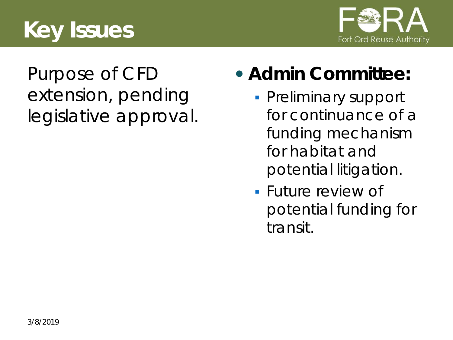# **Key Issues**



#### Purpose of CFD extension, pending legislative approval.

#### **Admin Committee:**

- **Preliminary support** for continuance of a funding mechanism for habitat and potential litigation.
- **Future review of** potential funding for transit.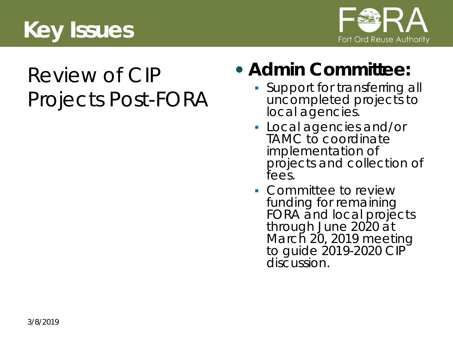



# Review of CIP Projects Post-FORA

#### **Admin Committee:**

- **Support for transferring all** uncompleted projects to local agencies.
- Local agencies and/or TAMC to coordinate implementation of projects and collection of fees.
- Committee to review funding for remaining FORA and local projects through June 2020 at March 20, 2019 meeting to guide 2019-2020 CIP discussion.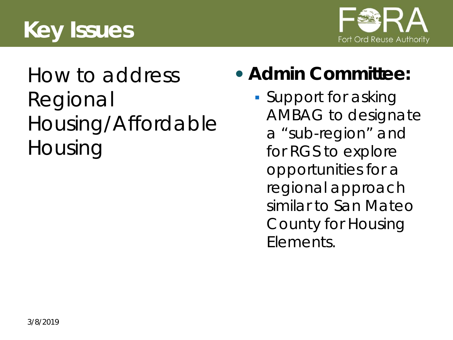



### How to address Regional Housing/Affordable Housing

#### **Admin Committee:**

**Support for asking** AMBAG to designate a "sub-region" and for RGS to explore opportunities for a regional approach similar to San Mateo County for Housing Elements.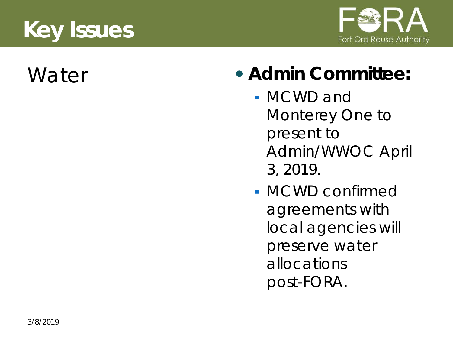# **Key Issues**





#### Water **• Admin Committee:**

- MCWD and Monterey One to present to Admin/WWOC April 3, 2019.
- MCWD confirmed agreements with local agencies will preserve water allocations post-FORA.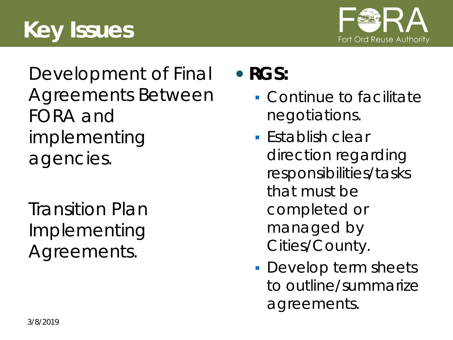# **Key Issues**



Development of Final Agreements Between FORA and implementing agencies.

Transition Plan Implementing Agreements.

#### **RGS:**

- Continue to facilitate negotiations.
- $\blacksquare$  Establish clear direction regarding responsibilities/tasks that must be completed or managed by Cities/County.
- **Develop term sheets** to outline/summarize agreements.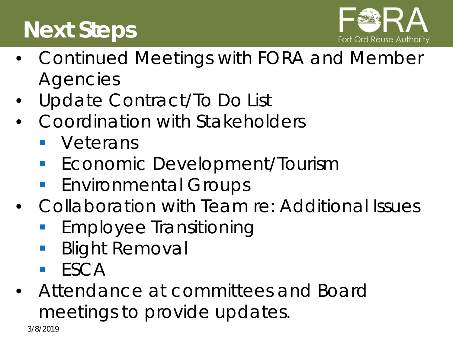# **Next Steps**



- Continued Meetings with FORA and Member Agencies
- Update Contract/To Do List
- Coordination with Stakeholders
	- **veterans**
	- **Economic Development/Tourism**
	- **Environmental Groups**
- Collaboration with Team re: Additional Issues
	- Employee Transitioning
	- Blight Removal
	- **ESCA**
- Attendance at committees and Board meetings to provide updates.

3/8/2019